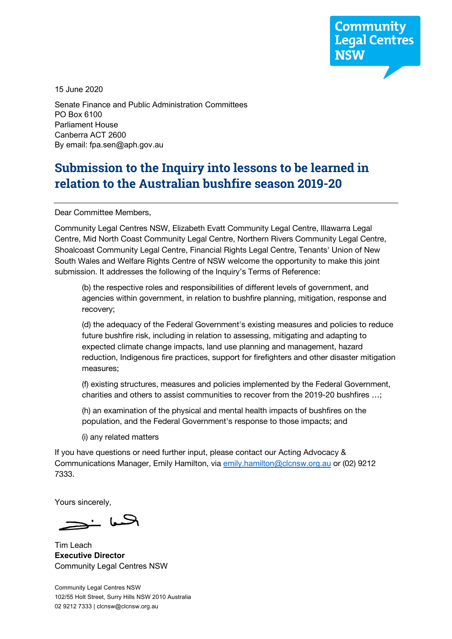**Community Legal Centres** 

15 June 2020

Senate Finance and Public Administration Committees PO Box 6100 Parliament House Canberra ACT 2600 By email: fpa.sen@aph.gov.au

# **Submission to the Inquiry into lessons to be learned in relation to the Australian bushfire season 2019-20**

Dear Committee Members,

Community Legal Centres NSW, Elizabeth Evatt Community Legal Centre, Illawarra Legal Centre, Mid North Coast Community Legal Centre, Northern Rivers Community Legal Centre, Shoalcoast Community Legal Centre, Financial Rights Legal Centre, Tenants' Union of New South Wales and Welfare Rights Centre of NSW welcome the opportunity to make this joint submission. It addresses the following of the Inquiry's Terms of Reference:

(b) the respective roles and responsibilities of different levels of government, and agencies within government, in relation to bushfire planning, mitigation, response and recovery;

(d) the adequacy of the Federal Government's existing measures and policies to reduce future bushfire risk, including in relation to assessing, mitigating and adapting to expected climate change impacts, land use planning and management, hazard reduction, Indigenous fire practices, support for firefighters and other disaster mitigation measures;

(f) existing structures, measures and policies implemented by the Federal Government, charities and others to assist communities to recover from the 2019-20 bushfires …;

(h) an examination of the physical and mental health impacts of bushfires on the population, and the Federal Government's response to those impacts; and

(i) any related matters

If you have questions or need further input, please contact our Acting Advocacy & Communications Manager, Emily Hamilton, via emily.hamilton@clcnsw.org.au or (02) 9212 7333.

Yours sincerely,

الحسعا خ

Tim Leach **Executive Director** Community Legal Centres NSW

Community Legal Centres NSW 102/55 Holt Street, Surry Hills NSW 2010 Australia 02 9212 7333 | clcnsw@clcnsw.org.au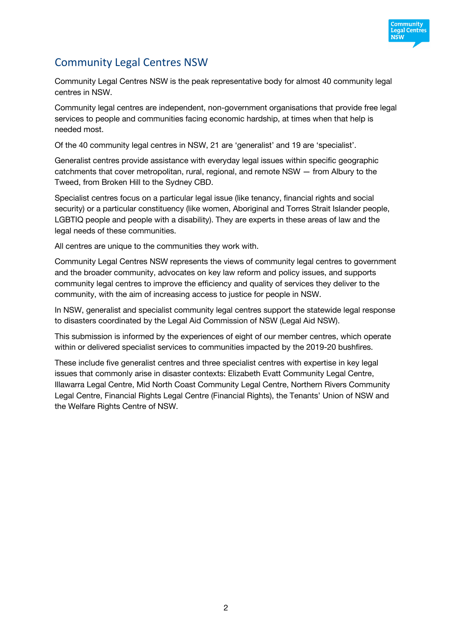

# Community Legal Centres NSW

Community Legal Centres NSW is the peak representative body for almost 40 community legal centres in NSW.

Community legal centres are independent, non-government organisations that provide free legal services to people and communities facing economic hardship, at times when that help is needed most.

Of the 40 community legal centres in NSW, 21 are 'generalist' and 19 are 'specialist'.

Generalist centres provide assistance with everyday legal issues within specific geographic catchments that cover metropolitan, rural, regional, and remote NSW — from Albury to the Tweed, from Broken Hill to the Sydney CBD.

Specialist centres focus on a particular legal issue (like tenancy, financial rights and social security) or a particular constituency (like women, Aboriginal and Torres Strait Islander people, LGBTIQ people and people with a disability). They are experts in these areas of law and the legal needs of these communities.

All centres are unique to the communities they work with.

Community Legal Centres NSW represents the views of community legal centres to government and the broader community, advocates on key law reform and policy issues, and supports community legal centres to improve the efficiency and quality of services they deliver to the community, with the aim of increasing access to justice for people in NSW.

In NSW, generalist and specialist community legal centres support the statewide legal response to disasters coordinated by the Legal Aid Commission of NSW (Legal Aid NSW).

This submission is informed by the experiences of eight of our member centres, which operate within or delivered specialist services to communities impacted by the 2019-20 bushfires.

These include five generalist centres and three specialist centres with expertise in key legal issues that commonly arise in disaster contexts: Elizabeth Evatt Community Legal Centre, Illawarra Legal Centre, Mid North Coast Community Legal Centre, Northern Rivers Community Legal Centre, Financial Rights Legal Centre (Financial Rights), the Tenants' Union of NSW and the Welfare Rights Centre of NSW.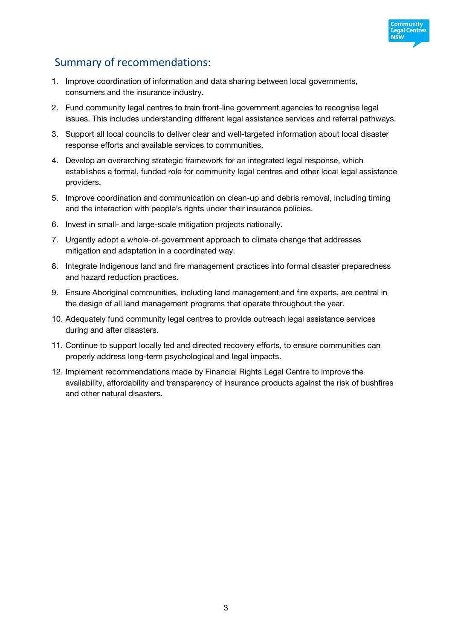

# Summary of recommendations:

- 1. Improve coordination of information and data sharing between local governments, consumers and the insurance industry.
- 2. Fund community legal centres to train front-line government agencies to recognise legal issues. This includes understanding different legal assistance services and referral pathways.
- 3. Support all local councils to deliver clear and well-targeted information about local disaster response efforts and available services to communities.
- 4. Develop an overarching strategic framework for an integrated legal response, which establishes a formal, funded role for community legal centres and other local legal assistance providers.
- 5. Improve coordination and communication on clean-up and debris removal, including timing and the interaction with people's rights under their insurance policies.
- 6. Invest in small- and large-scale mitigation projects nationally.
- 7. Urgently adopt a whole-of-government approach to climate change that addresses mitigation and adaptation in a coordinated way.
- 8. Integrate Indigenous land and fire management practices into formal disaster preparedness and hazard reduction practices.
- 9. Ensure Aboriginal communities, including land management and fire experts, are central in the design of all land management programs that operate throughout the year.
- 10. Adequately fund community legal centres to provide outreach legal assistance services during and after disasters.
- 11. Continue to support locally led and directed recovery efforts, to ensure communities can properly address long-term psychological and legal impacts.
- 12. Implement recommendations made by Financial Rights Legal Centre to improve the availability, affordability and transparency of insurance products against the risk of bushfires and other natural disasters.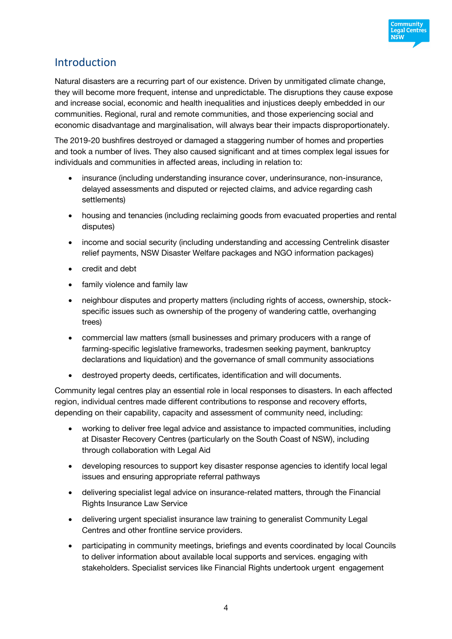

# Introduction

Natural disasters are a recurring part of our existence. Driven by unmitigated climate change, they will become more frequent, intense and unpredictable. The disruptions they cause expose and increase social, economic and health inequalities and injustices deeply embedded in our communities. Regional, rural and remote communities, and those experiencing social and economic disadvantage and marginalisation, will always bear their impacts disproportionately.

The 2019-20 bushfires destroyed or damaged a staggering number of homes and properties and took a number of lives. They also caused significant and at times complex legal issues for individuals and communities in affected areas, including in relation to:

- insurance (including understanding insurance cover, underinsurance, non-insurance, delayed assessments and disputed or rejected claims, and advice regarding cash settlements)
- housing and tenancies (including reclaiming goods from evacuated properties and rental disputes)
- income and social security (including understanding and accessing Centrelink disaster relief payments, NSW Disaster Welfare packages and NGO information packages)
- credit and debt
- family violence and family law
- neighbour disputes and property matters (including rights of access, ownership, stockspecific issues such as ownership of the progeny of wandering cattle, overhanging trees)
- commercial law matters (small businesses and primary producers with a range of farming-specific legislative frameworks, tradesmen seeking payment, bankruptcy declarations and liquidation) and the governance of small community associations
- destroyed property deeds, certificates, identification and will documents.

Community legal centres play an essential role in local responses to disasters. In each affected region, individual centres made different contributions to response and recovery efforts, depending on their capability, capacity and assessment of community need, including:

- working to deliver free legal advice and assistance to impacted communities, including at Disaster Recovery Centres (particularly on the South Coast of NSW), including through collaboration with Legal Aid
- developing resources to support key disaster response agencies to identify local legal issues and ensuring appropriate referral pathways
- delivering specialist legal advice on insurance-related matters, through the Financial Rights Insurance Law Service
- delivering urgent specialist insurance law training to generalist Community Legal Centres and other frontline service providers.
- participating in community meetings, briefings and events coordinated by local Councils to deliver information about available local supports and services. engaging with stakeholders. Specialist services like Financial Rights undertook urgent engagement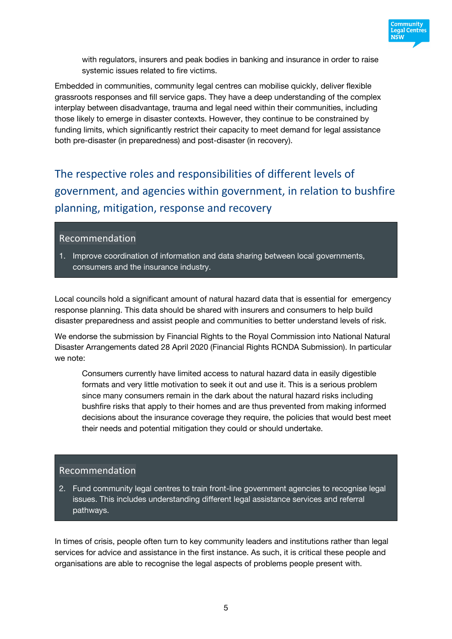

with regulators, insurers and peak bodies in banking and insurance in order to raise systemic issues related to fire victims.

Embedded in communities, community legal centres can mobilise quickly, deliver flexible grassroots responses and fill service gaps. They have a deep understanding of the complex interplay between disadvantage, trauma and legal need within their communities, including those likely to emerge in disaster contexts. However, they continue to be constrained by funding limits, which significantly restrict their capacity to meet demand for legal assistance both pre-disaster (in preparedness) and post-disaster (in recovery).

The respective roles and responsibilities of different levels of government, and agencies within government, in relation to bushfire planning, mitigation, response and recovery

#### Recommendation

1. Improve coordination of information and data sharing between local governments, consumers and the insurance industry.

Local councils hold a significant amount of natural hazard data that is essential for emergency response planning. This data should be shared with insurers and consumers to help build disaster preparedness and assist people and communities to better understand levels of risk.

We endorse the submission by Financial Rights to the Royal Commission into National Natural Disaster Arrangements dated 28 April 2020 (Financial Rights RCNDA Submission). In particular we note:

Consumers currently have limited access to natural hazard data in easily digestible formats and very little motivation to seek it out and use it. This is a serious problem since many consumers remain in the dark about the natural hazard risks including bushfire risks that apply to their homes and are thus prevented from making informed decisions about the insurance coverage they require, the policies that would best meet their needs and potential mitigation they could or should undertake.

### Recommendation

2. Fund community legal centres to train front-line government agencies to recognise legal issues. This includes understanding different legal assistance services and referral pathways.

In times of crisis, people often turn to key community leaders and institutions rather than legal services for advice and assistance in the first instance. As such, it is critical these people and organisations are able to recognise the legal aspects of problems people present with.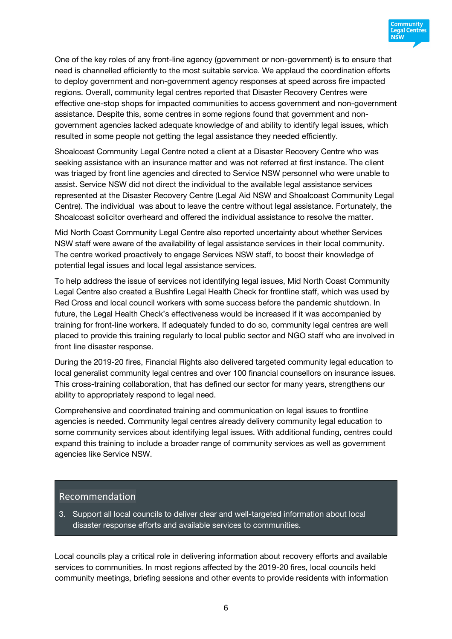

One of the key roles of any front-line agency (government or non-government) is to ensure that need is channelled efficiently to the most suitable service. We applaud the coordination efforts to deploy government and non-government agency responses at speed across fire impacted regions. Overall, community legal centres reported that Disaster Recovery Centres were effective one-stop shops for impacted communities to access government and non-government assistance. Despite this, some centres in some regions found that government and nongovernment agencies lacked adequate knowledge of and ability to identify legal issues, which resulted in some people not getting the legal assistance they needed efficiently.

Shoalcoast Community Legal Centre noted a client at a Disaster Recovery Centre who was seeking assistance with an insurance matter and was not referred at first instance. The client was triaged by front line agencies and directed to Service NSW personnel who were unable to assist. Service NSW did not direct the individual to the available legal assistance services represented at the Disaster Recovery Centre (Legal Aid NSW and Shoalcoast Community Legal Centre). The individual was about to leave the centre without legal assistance. Fortunately, the Shoalcoast solicitor overheard and offered the individual assistance to resolve the matter.

Mid North Coast Community Legal Centre also reported uncertainty about whether Services NSW staff were aware of the availability of legal assistance services in their local community. The centre worked proactively to engage Services NSW staff, to boost their knowledge of potential legal issues and local legal assistance services.

To help address the issue of services not identifying legal issues, Mid North Coast Community Legal Centre also created a Bushfire Legal Health Check for frontline staff, which was used by Red Cross and local council workers with some success before the pandemic shutdown. In future, the Legal Health Check's effectiveness would be increased if it was accompanied by training for front-line workers. If adequately funded to do so, community legal centres are well placed to provide this training regularly to local public sector and NGO staff who are involved in front line disaster response.

During the 2019-20 fires, Financial Rights also delivered targeted community legal education to local generalist community legal centres and over 100 financial counsellors on insurance issues. This cross-training collaboration, that has defined our sector for many years, strengthens our ability to appropriately respond to legal need.

Comprehensive and coordinated training and communication on legal issues to frontline agencies is needed. Community legal centres already delivery community legal education to some community services about identifying legal issues. With additional funding, centres could expand this training to include a broader range of community services as well as government agencies like Service NSW.

### Recommendation

3. Support all local councils to deliver clear and well-targeted information about local disaster response efforts and available services to communities.

Local councils play a critical role in delivering information about recovery efforts and available services to communities. In most regions affected by the 2019-20 fires, local councils held community meetings, briefing sessions and other events to provide residents with information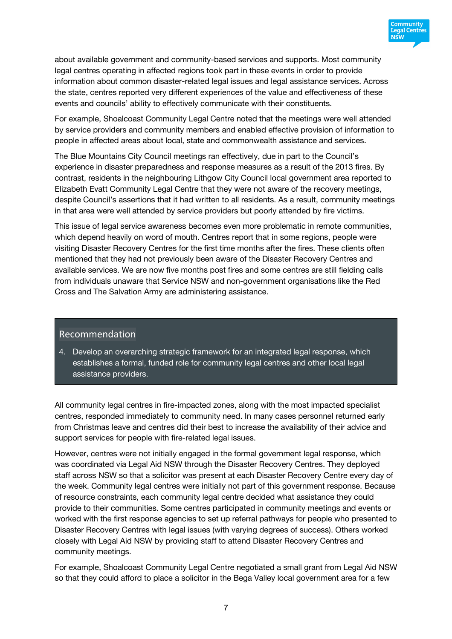

about available government and community-based services and supports. Most community legal centres operating in affected regions took part in these events in order to provide information about common disaster-related legal issues and legal assistance services. Across the state, centres reported very different experiences of the value and effectiveness of these events and councils' ability to effectively communicate with their constituents.

For example, Shoalcoast Community Legal Centre noted that the meetings were well attended by service providers and community members and enabled effective provision of information to people in affected areas about local, state and commonwealth assistance and services.

The Blue Mountains City Council meetings ran effectively, due in part to the Council's experience in disaster preparedness and response measures as a result of the 2013 fires. By contrast, residents in the neighbouring Lithgow City Council local government area reported to Elizabeth Evatt Community Legal Centre that they were not aware of the recovery meetings, despite Council's assertions that it had written to all residents. As a result, community meetings in that area were well attended by service providers but poorly attended by fire victims.

This issue of legal service awareness becomes even more problematic in remote communities, which depend heavily on word of mouth. Centres report that in some regions, people were visiting Disaster Recovery Centres for the first time months after the fires. These clients often mentioned that they had not previously been aware of the Disaster Recovery Centres and available services. We are now five months post fires and some centres are still fielding calls from individuals unaware that Service NSW and non-government organisations like the Red Cross and The Salvation Army are administering assistance.

#### Recommendation

4. Develop an overarching strategic framework for an integrated legal response, which establishes a formal, funded role for community legal centres and other local legal assistance providers.

All community legal centres in fire-impacted zones, along with the most impacted specialist centres, responded immediately to community need. In many cases personnel returned early from Christmas leave and centres did their best to increase the availability of their advice and support services for people with fire-related legal issues.

However, centres were not initially engaged in the formal government legal response, which was coordinated via Legal Aid NSW through the Disaster Recovery Centres. They deployed staff across NSW so that a solicitor was present at each Disaster Recovery Centre every day of the week. Community legal centres were initially not part of this government response. Because of resource constraints, each community legal centre decided what assistance they could provide to their communities. Some centres participated in community meetings and events or worked with the first response agencies to set up referral pathways for people who presented to Disaster Recovery Centres with legal issues (with varying degrees of success). Others worked closely with Legal Aid NSW by providing staff to attend Disaster Recovery Centres and community meetings.

For example, Shoalcoast Community Legal Centre negotiated a small grant from Legal Aid NSW so that they could afford to place a solicitor in the Bega Valley local government area for a few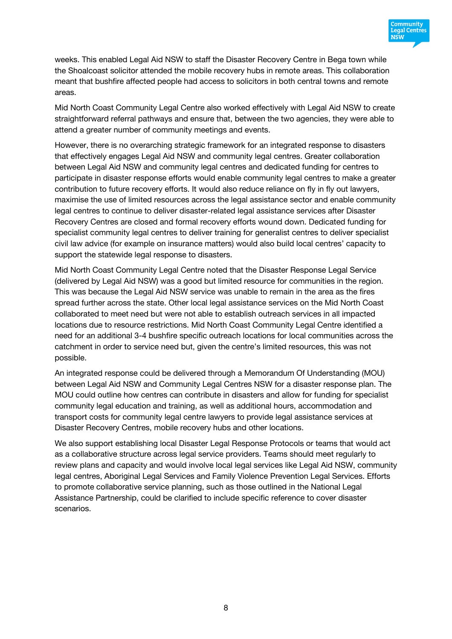

weeks. This enabled Legal Aid NSW to staff the Disaster Recovery Centre in Bega town while the Shoalcoast solicitor attended the mobile recovery hubs in remote areas. This collaboration meant that bushfire affected people had access to solicitors in both central towns and remote areas.

Mid North Coast Community Legal Centre also worked effectively with Legal Aid NSW to create straightforward referral pathways and ensure that, between the two agencies, they were able to attend a greater number of community meetings and events.

However, there is no overarching strategic framework for an integrated response to disasters that effectively engages Legal Aid NSW and community legal centres. Greater collaboration between Legal Aid NSW and community legal centres and dedicated funding for centres to participate in disaster response efforts would enable community legal centres to make a greater contribution to future recovery efforts. It would also reduce reliance on fly in fly out lawyers, maximise the use of limited resources across the legal assistance sector and enable community legal centres to continue to deliver disaster-related legal assistance services after Disaster Recovery Centres are closed and formal recovery efforts wound down. Dedicated funding for specialist community legal centres to deliver training for generalist centres to deliver specialist civil law advice (for example on insurance matters) would also build local centres' capacity to support the statewide legal response to disasters.

Mid North Coast Community Legal Centre noted that the Disaster Response Legal Service (delivered by Legal Aid NSW) was a good but limited resource for communities in the region. This was because the Legal Aid NSW service was unable to remain in the area as the fires spread further across the state. Other local legal assistance services on the Mid North Coast collaborated to meet need but were not able to establish outreach services in all impacted locations due to resource restrictions. Mid North Coast Community Legal Centre identified a need for an additional 3-4 bushfire specific outreach locations for local communities across the catchment in order to service need but, given the centre's limited resources, this was not possible.

An integrated response could be delivered through a Memorandum Of Understanding (MOU) between Legal Aid NSW and Community Legal Centres NSW for a disaster response plan. The MOU could outline how centres can contribute in disasters and allow for funding for specialist community legal education and training, as well as additional hours, accommodation and transport costs for community legal centre lawyers to provide legal assistance services at Disaster Recovery Centres, mobile recovery hubs and other locations.

We also support establishing local Disaster Legal Response Protocols or teams that would act as a collaborative structure across legal service providers. Teams should meet regularly to review plans and capacity and would involve local legal services like Legal Aid NSW, community legal centres, Aboriginal Legal Services and Family Violence Prevention Legal Services. Efforts to promote collaborative service planning, such as those outlined in the National Legal Assistance Partnership, could be clarified to include specific reference to cover disaster scenarios.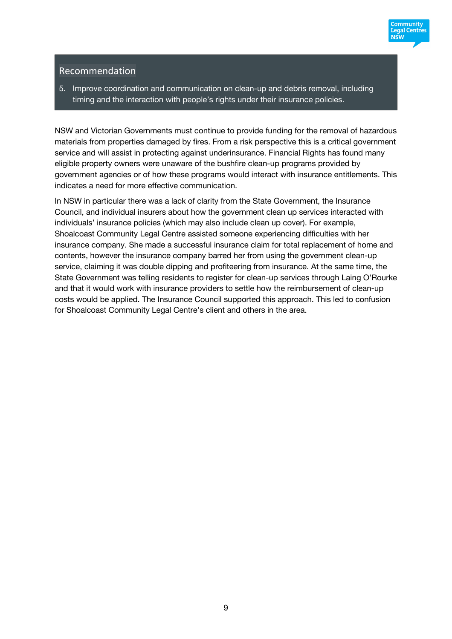

## Recommendation

5. Improve coordination and communication on clean-up and debris removal, including timing and the interaction with people's rights under their insurance policies.

NSW and Victorian Governments must continue to provide funding for the removal of hazardous materials from properties damaged by fires. From a risk perspective this is a critical government service and will assist in protecting against underinsurance. Financial Rights has found many eligible property owners were unaware of the bushfire clean-up programs provided by government agencies or of how these programs would interact with insurance entitlements. This indicates a need for more effective communication.

In NSW in particular there was a lack of clarity from the State Government, the Insurance Council, and individual insurers about how the government clean up services interacted with individuals' insurance policies (which may also include clean up cover). For example, Shoalcoast Community Legal Centre assisted someone experiencing difficulties with her insurance company. She made a successful insurance claim for total replacement of home and contents, however the insurance company barred her from using the government clean-up service, claiming it was double dipping and profiteering from insurance. At the same time, the State Government was telling residents to register for clean-up services through Laing O'Rourke and that it would work with insurance providers to settle how the reimbursement of clean-up costs would be applied. The Insurance Council supported this approach. This led to confusion for Shoalcoast Community Legal Centre's client and others in the area.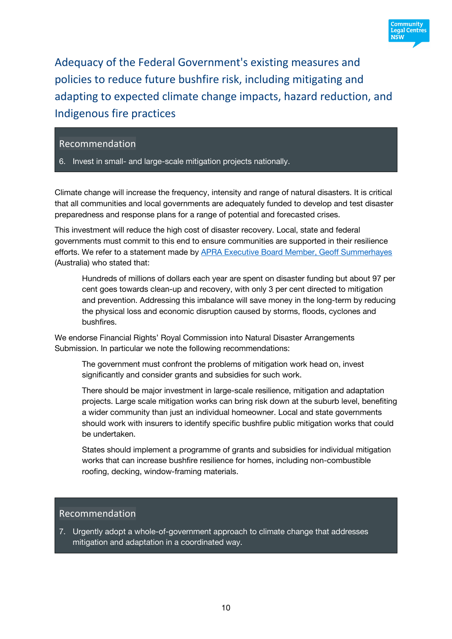

Adequacy of the Federal Government's existing measures and policies to reduce future bushfire risk, including mitigating and adapting to expected climate change impacts, hazard reduction, and Indigenous fire practices

#### Recommendation

6. Invest in small- and large-scale mitigation projects nationally.

Climate change will increase the frequency, intensity and range of natural disasters. It is critical that all communities and local governments are adequately funded to develop and test disaster preparedness and response plans for a range of potential and forecasted crises.

This investment will reduce the high cost of disaster recovery. Local, state and federal governments must commit to this end to ensure communities are supported in their resilience efforts. We refer to a statement made by APRA Executive Board Member, Geoff Summerhayes (Australia) who stated that:

Hundreds of millions of dollars each year are spent on disaster funding but about 97 per cent goes towards clean-up and recovery, with only 3 per cent directed to mitigation and prevention. Addressing this imbalance will save money in the long-term by reducing the physical loss and economic disruption caused by storms, floods, cyclones and bushfires.

We endorse Financial Rights' Royal Commission into Natural Disaster Arrangements Submission. In particular we note the following recommendations:

The government must confront the problems of mitigation work head on, invest significantly and consider grants and subsidies for such work.

There should be major investment in large-scale resilience, mitigation and adaptation projects. Large scale mitigation works can bring risk down at the suburb level, benefiting a wider community than just an individual homeowner. Local and state governments should work with insurers to identify specific bushfire public mitigation works that could be undertaken.

States should implement a programme of grants and subsidies for individual mitigation works that can increase bushfire resilience for homes, including non-combustible roofing, decking, window-framing materials.

### Recommendation

7. Urgently adopt a whole-of-government approach to climate change that addresses mitigation and adaptation in a coordinated way.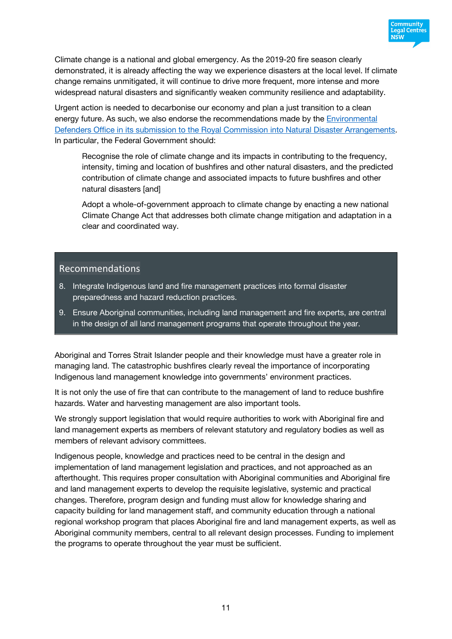

Climate change is a national and global emergency. As the 2019-20 fire season clearly demonstrated, it is already affecting the way we experience disasters at the local level. If climate change remains unmitigated, it will continue to drive more frequent, more intense and more widespread natural disasters and significantly weaken community resilience and adaptability.

Urgent action is needed to decarbonise our economy and plan a just transition to a clean energy future. As such, we also endorse the recommendations made by the Environmental Defenders Office in its submission to the Royal Commission into Natural Disaster Arrangements. In particular, the Federal Government should:

Recognise the role of climate change and its impacts in contributing to the frequency, intensity, timing and location of bushfires and other natural disasters, and the predicted contribution of climate change and associated impacts to future bushfires and other natural disasters [and]

Adopt a whole-of-government approach to climate change by enacting a new national Climate Change Act that addresses both climate change mitigation and adaptation in a clear and coordinated way.

#### Recommendations

- 8. Integrate Indigenous land and fire management practices into formal disaster preparedness and hazard reduction practices.
- 9. Ensure Aboriginal communities, including land management and fire experts, are central in the design of all land management programs that operate throughout the year.

Aboriginal and Torres Strait Islander people and their knowledge must have a greater role in managing land. The catastrophic bushfires clearly reveal the importance of incorporating Indigenous land management knowledge into governments' environment practices.

It is not only the use of fire that can contribute to the management of land to reduce bushfire hazards. Water and harvesting management are also important tools.

We strongly support legislation that would require authorities to work with Aboriginal fire and land management experts as members of relevant statutory and regulatory bodies as well as members of relevant advisory committees.

Indigenous people, knowledge and practices need to be central in the design and implementation of land management legislation and practices, and not approached as an afterthought. This requires proper consultation with Aboriginal communities and Aboriginal fire and land management experts to develop the requisite legislative, systemic and practical changes. Therefore, program design and funding must allow for knowledge sharing and capacity building for land management staff, and community education through a national regional workshop program that places Aboriginal fire and land management experts, as well as Aboriginal community members, central to all relevant design processes. Funding to implement the programs to operate throughout the year must be sufficient.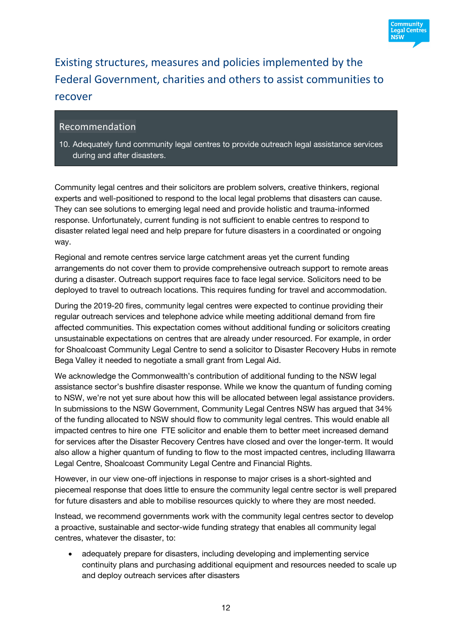

Existing structures, measures and policies implemented by the Federal Government, charities and others to assist communities to recover

## Recommendation

10. Adequately fund community legal centres to provide outreach legal assistance services during and after disasters.

Community legal centres and their solicitors are problem solvers, creative thinkers, regional experts and well-positioned to respond to the local legal problems that disasters can cause. They can see solutions to emerging legal need and provide holistic and trauma-informed response. Unfortunately, current funding is not sufficient to enable centres to respond to disaster related legal need and help prepare for future disasters in a coordinated or ongoing way.

Regional and remote centres service large catchment areas yet the current funding arrangements do not cover them to provide comprehensive outreach support to remote areas during a disaster. Outreach support requires face to face legal service. Solicitors need to be deployed to travel to outreach locations. This requires funding for travel and accommodation.

During the 2019-20 fires, community legal centres were expected to continue providing their regular outreach services and telephone advice while meeting additional demand from fire affected communities. This expectation comes without additional funding or solicitors creating unsustainable expectations on centres that are already under resourced. For example, in order for Shoalcoast Community Legal Centre to send a solicitor to Disaster Recovery Hubs in remote Bega Valley it needed to negotiate a small grant from Legal Aid.

We acknowledge the Commonwealth's contribution of additional funding to the NSW legal assistance sector's bushfire disaster response. While we know the quantum of funding coming to NSW, we're not yet sure about how this will be allocated between legal assistance providers. In submissions to the NSW Government, Community Legal Centres NSW has argued that 34% of the funding allocated to NSW should flow to community legal centres. This would enable all impacted centres to hire one FTE solicitor and enable them to better meet increased demand for services after the Disaster Recovery Centres have closed and over the longer-term. It would also allow a higher quantum of funding to flow to the most impacted centres, including Illawarra Legal Centre, Shoalcoast Community Legal Centre and Financial Rights.

However, in our view one-off injections in response to major crises is a short-sighted and piecemeal response that does little to ensure the community legal centre sector is well prepared for future disasters and able to mobilise resources quickly to where they are most needed.

Instead, we recommend governments work with the community legal centres sector to develop a proactive, sustainable and sector-wide funding strategy that enables all community legal centres, whatever the disaster, to:

• adequately prepare for disasters, including developing and implementing service continuity plans and purchasing additional equipment and resources needed to scale up and deploy outreach services after disasters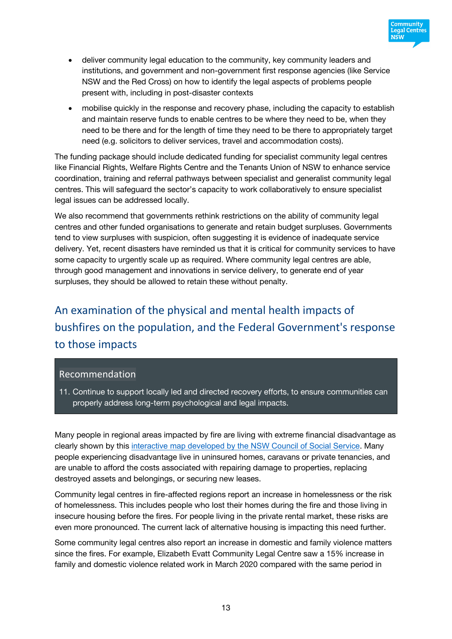

- deliver community legal education to the community, key community leaders and institutions, and government and non-government first response agencies (like Service NSW and the Red Cross) on how to identify the legal aspects of problems people present with, including in post-disaster contexts
- mobilise quickly in the response and recovery phase, including the capacity to establish and maintain reserve funds to enable centres to be where they need to be, when they need to be there and for the length of time they need to be there to appropriately target need (e.g. solicitors to deliver services, travel and accommodation costs).

The funding package should include dedicated funding for specialist community legal centres like Financial Rights, Welfare Rights Centre and the Tenants Union of NSW to enhance service coordination, training and referral pathways between specialist and generalist community legal centres. This will safeguard the sector's capacity to work collaboratively to ensure specialist legal issues can be addressed locally.

We also recommend that governments rethink restrictions on the ability of community legal centres and other funded organisations to generate and retain budget surpluses. Governments tend to view surpluses with suspicion, often suggesting it is evidence of inadequate service delivery. Yet, recent disasters have reminded us that it is critical for community services to have some capacity to urgently scale up as required. Where community legal centres are able, through good management and innovations in service delivery, to generate end of year surpluses, they should be allowed to retain these without penalty.

# An examination of the physical and mental health impacts of bushfires on the population, and the Federal Government's response to those impacts

#### Recommendation

11. Continue to support locally led and directed recovery efforts, to ensure communities can properly address long-term psychological and legal impacts.

Many people in regional areas impacted by fire are living with extreme financial disadvantage as clearly shown by this interactive map developed by the NSW Council of Social Service. Many people experiencing disadvantage live in uninsured homes, caravans or private tenancies, and are unable to afford the costs associated with repairing damage to properties, replacing destroyed assets and belongings, or securing new leases.

Community legal centres in fire-affected regions report an increase in homelessness or the risk of homelessness. This includes people who lost their homes during the fire and those living in insecure housing before the fires. For people living in the private rental market, these risks are even more pronounced. The current lack of alternative housing is impacting this need further.

Some community legal centres also report an increase in domestic and family violence matters since the fires. For example, Elizabeth Evatt Community Legal Centre saw a 15% increase in family and domestic violence related work in March 2020 compared with the same period in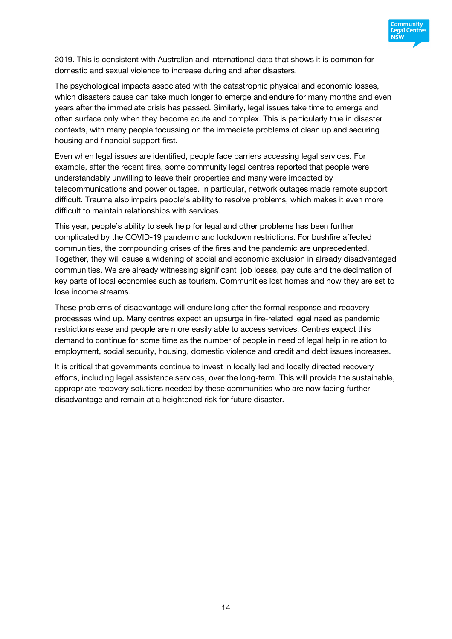

2019. This is consistent with Australian and international data that shows it is common for domestic and sexual violence to increase during and after disasters.

The psychological impacts associated with the catastrophic physical and economic losses, which disasters cause can take much longer to emerge and endure for many months and even years after the immediate crisis has passed. Similarly, legal issues take time to emerge and often surface only when they become acute and complex. This is particularly true in disaster contexts, with many people focussing on the immediate problems of clean up and securing housing and financial support first.

Even when legal issues are identified, people face barriers accessing legal services. For example, after the recent fires, some community legal centres reported that people were understandably unwilling to leave their properties and many were impacted by telecommunications and power outages. In particular, network outages made remote support difficult. Trauma also impairs people's ability to resolve problems, which makes it even more difficult to maintain relationships with services.

This year, people's ability to seek help for legal and other problems has been further complicated by the COVID-19 pandemic and lockdown restrictions. For bushfire affected communities, the compounding crises of the fires and the pandemic are unprecedented. Together, they will cause a widening of social and economic exclusion in already disadvantaged communities. We are already witnessing significant job losses, pay cuts and the decimation of key parts of local economies such as tourism. Communities lost homes and now they are set to lose income streams.

These problems of disadvantage will endure long after the formal response and recovery processes wind up. Many centres expect an upsurge in fire-related legal need as pandemic restrictions ease and people are more easily able to access services. Centres expect this demand to continue for some time as the number of people in need of legal help in relation to employment, social security, housing, domestic violence and credit and debt issues increases.

It is critical that governments continue to invest in locally led and locally directed recovery efforts, including legal assistance services, over the long-term. This will provide the sustainable, appropriate recovery solutions needed by these communities who are now facing further disadvantage and remain at a heightened risk for future disaster.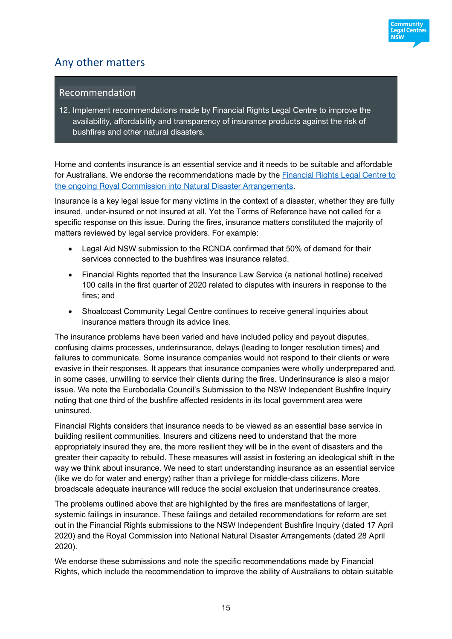

# Any other matters

### Recommendation

12. Implement recommendations made by Financial Rights Legal Centre to improve the availability, affordability and transparency of insurance products against the risk of bushfires and other natural disasters.

Home and contents insurance is an essential service and it needs to be suitable and affordable for Australians. We endorse the recommendations made by the Financial Rights Legal Centre to the ongoing Royal Commission into Natural Disaster Arrangements.

Insurance is a key legal issue for many victims in the context of a disaster, whether they are fully insured, under-insured or not insured at all. Yet the Terms of Reference have not called for a specific response on this issue. During the fires, insurance matters constituted the majority of matters reviewed by legal service providers. For example:

- Legal Aid NSW submission to the RCNDA confirmed that 50% of demand for their services connected to the bushfires was insurance related.
- Financial Rights reported that the Insurance Law Service (a national hotline) received 100 calls in the first quarter of 2020 related to disputes with insurers in response to the fires; and
- Shoalcoast Community Legal Centre continues to receive general inquiries about insurance matters through its advice lines.

The insurance problems have been varied and have included policy and payout disputes, confusing claims processes, underinsurance, delays (leading to longer resolution times) and failures to communicate. Some insurance companies would not respond to their clients or were evasive in their responses. It appears that insurance companies were wholly underprepared and, in some cases, unwilling to service their clients during the fires. Underinsurance is also a major issue. We note the Eurobodalla Council's Submission to the NSW Independent Bushfire Inquiry noting that one third of the bushfire affected residents in its local government area were uninsured.

Financial Rights considers that insurance needs to be viewed as an essential base service in building resilient communities. Insurers and citizens need to understand that the more appropriately insured they are, the more resilient they will be in the event of disasters and the greater their capacity to rebuild. These measures will assist in fostering an ideological shift in the way we think about insurance. We need to start understanding insurance as an essential service (like we do for water and energy) rather than a privilege for middle-class citizens. More broadscale adequate insurance will reduce the social exclusion that underinsurance creates.

The problems outlined above that are highlighted by the fires are manifestations of larger, systemic failings in insurance. These failings and detailed recommendations for reform are set out in the Financial Rights submissions to the NSW Independent Bushfire Inquiry (dated 17 April 2020) and the Royal Commission into National Natural Disaster Arrangements (dated 28 April 2020).

We endorse these submissions and note the specific recommendations made by Financial Rights, which include the recommendation to improve the ability of Australians to obtain suitable